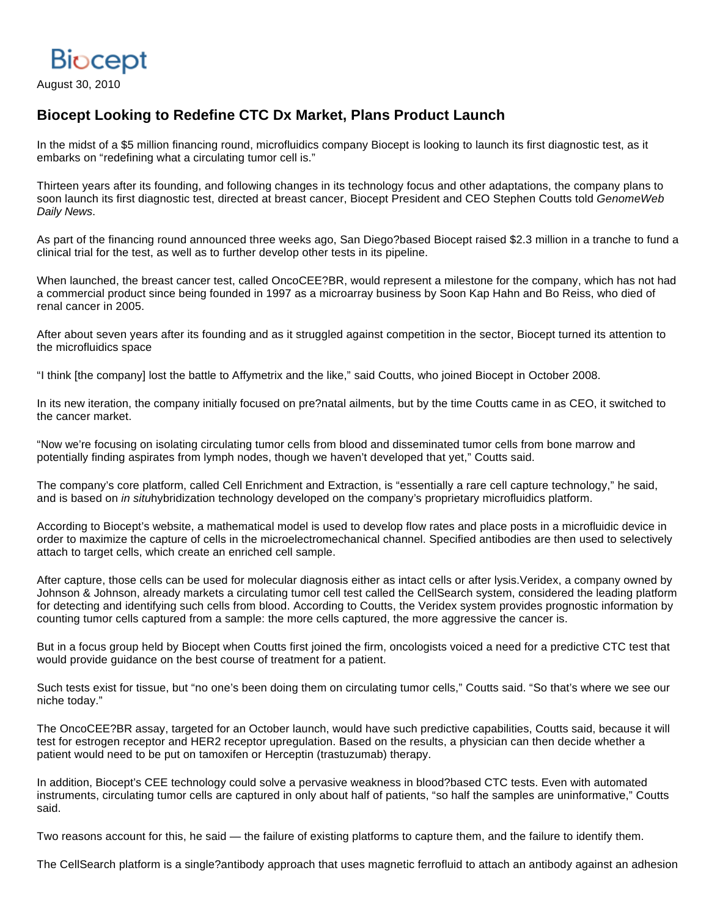

August 30, 2010

## **Biocept Looking to Redefine CTC Dx Market, Plans Product Launch**

In the midst of a \$5 million financing round, microfluidics company Biocept is looking to launch its first diagnostic test, as it embarks on "redefining what a circulating tumor cell is."

Thirteen years after its founding, and following changes in its technology focus and other adaptations, the company plans to soon launch its first diagnostic test, directed at breast cancer, Biocept President and CEO Stephen Coutts told GenomeWeb Daily News.

As part of the financing round announced three weeks ago, San Diego?based Biocept raised \$2.3 million in a tranche to fund a clinical trial for the test, as well as to further develop other tests in its pipeline.

When launched, the breast cancer test, called OncoCEE?BR, would represent a milestone for the company, which has not had a commercial product since being founded in 1997 as a microarray business by Soon Kap Hahn and Bo Reiss, who died of renal cancer in 2005.

After about seven years after its founding and as it struggled against competition in the sector, Biocept turned its attention to the microfluidics space

"I think [the company] lost the battle to Affymetrix and the like," said Coutts, who joined Biocept in October 2008.

In its new iteration, the company initially focused on pre?natal ailments, but by the time Coutts came in as CEO, it switched to the cancer market.

"Now we're focusing on isolating circulating tumor cells from blood and disseminated tumor cells from bone marrow and potentially finding aspirates from lymph nodes, though we haven't developed that yet," Coutts said.

The company's core platform, called Cell Enrichment and Extraction, is "essentially a rare cell capture technology," he said, and is based on *in situla* y bridization technology developed on the company's proprietary microfluidics platform.

According to Biocept's website, a mathematical model is used to develop flow rates and place posts in a microfluidic device in order to maximize the capture of cells in the microelectromechanical channel. Specified antibodies are then used to selectively attach to target cells, which create an enriched cell sample.

After capture, those cells can be used for molecular diagnosis either as intact cells or after lysis.Veridex, a company owned by Johnson & Johnson, already markets a circulating tumor cell test called the CellSearch system, considered the leading platform for detecting and identifying such cells from blood. According to Coutts, the Veridex system provides prognostic information by counting tumor cells captured from a sample: the more cells captured, the more aggressive the cancer is.

But in a focus group held by Biocept when Coutts first joined the firm, oncologists voiced a need for a predictive CTC test that would provide guidance on the best course of treatment for a patient.

Such tests exist for tissue, but "no one's been doing them on circulating tumor cells," Coutts said. "So that's where we see our niche today."

The OncoCEE?BR assay, targeted for an October launch, would have such predictive capabilities, Coutts said, because it will test for estrogen receptor and HER2 receptor upregulation. Based on the results, a physician can then decide whether a patient would need to be put on tamoxifen or Herceptin (trastuzumab) therapy.

In addition, Biocept's CEE technology could solve a pervasive weakness in blood?based CTC tests. Even with automated instruments, circulating tumor cells are captured in only about half of patients, "so half the samples are uninformative," Coutts said.

Two reasons account for this, he said — the failure of existing platforms to capture them, and the failure to identify them.

The CellSearch platform is a single?antibody approach that uses magnetic ferrofluid to attach an antibody against an adhesion